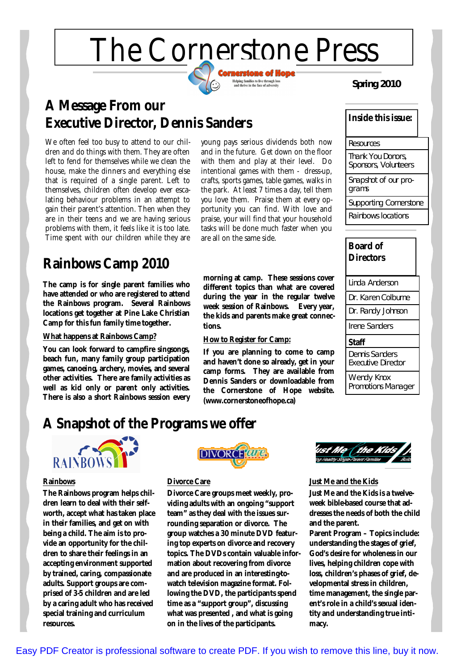# The Cornerstone Press



**Spring 2010**

## **A Message From our Executive Director, Dennis Sanders**

We often feel too busy to attend to our children and do things with them. They are often left to fend for themselves while we clean the house, make the dinners and everything else that is required of a single parent. Left to themselves, children often develop ever escalating behaviour problems in an attempt to gain their parent's attention. Then when they are in their teens and we are having serious problems with them, it feels like it is too late. Time spent with our children while they are

## **Rainbows Camp 2010**

**The camp is for single parent families who have attended or who are registered to attend the Rainbows program. Several Rainbows locations get together at Pine Lake Christian Camp for this fun family time together.**

#### **What happens at Rainbows Camp?**

**You can look forward to campfire singsongs, beach fun, many family group participation games, canoeing, archery, movies, and several other activities. There are family activities as well as kid only or parent only activities. There is also a short Rainbows session every** young pays serious dividends both now and in the future. Get down on the floor with them and play at their level. Do intentional games with them - dress-up, crafts, sports games, table games, walks in the park. At least 7 times a day, tell them you love them. Praise them at every opportunity you can find. With love and praise, your will find that your household tasks will be done much faster when you are all on the same side.

**morning at camp. These sessions cover different topics than what are covered during the year in the regular twelve week session of Rainbows. Every year, the kids and parents make great connections.**

#### **How to Register for Camp:**

**If you are planning to come to camp and haven't done so already, get in your camp forms. They are available from Dennis Sanders or downloadable from the Cornerstone of Hope website. [\(www.cornerstoneofhope.ca\)](http://www.cornerstoneofhope.ca)**

| Inside this issue:                        |  |
|-------------------------------------------|--|
| Resources                                 |  |
| Thank You Donors,<br>Sponsors, Volunteers |  |
| Snapshot of our pro-<br>grams             |  |
| <b>Supporting Cornerstone</b>             |  |
| Rainbows locations                        |  |



## **A Snapshot of the Programs we offer**



#### **Rainbows**

**The Rainbows program helps children learn to deal with their selfworth, accept what has taken place in their families, and get on with being a child. The aim is to provide an opportunity for the children to share their feelings in an accepting environment supported by trained, caring, compassionate adults. Support groups are comprised of 3-5 children and are led by a caring adult who has received special training and curriculum resources.**



#### **Divorce Care**

**Divorce Care groups meet weekly, providing adults with an ongoing "support team" as they deal with the issues surrounding separation or divorce. The group watches a 30 minute DVD featuring top experts on divorce and recovery topics. The DVDs contain valuable information about recovering from divorce and are produced in an interesting-towatch television magazine format. Following the DVD, the participants spend time as a "support group", discussing what was presented , and what is going on in the lives of the participants.**



#### **Just Me and the Kids**

**Just Me and the Kids is a twelveweek bible-based course that addresses the needs of both the child and the parent.**

**Parent Program – Topics include: understanding the stages of grief, God's desire for wholeness in our lives, helping children cope with loss, children's phases of grief, developmental stress in children, time management, the single parent's role in a child's sexual identity and understanding true intimacy.**